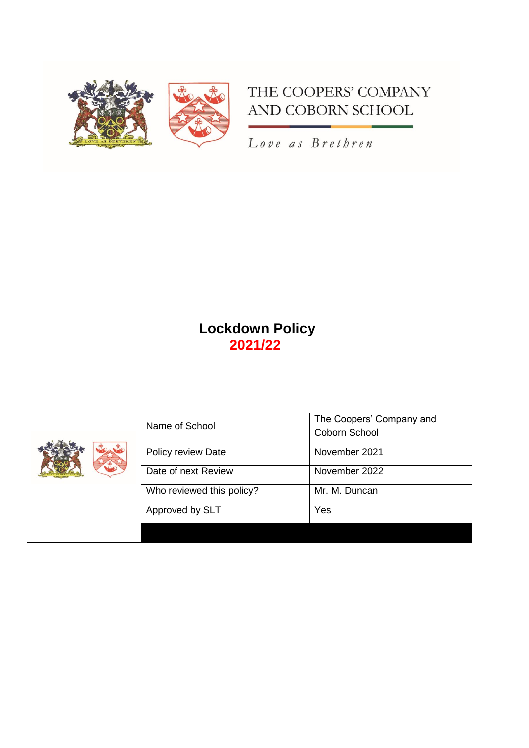

# THE COOPERS' COMPANY AND COBORN SCHOOL

Love as Brethren

# **Lockdown Policy 2021/22**

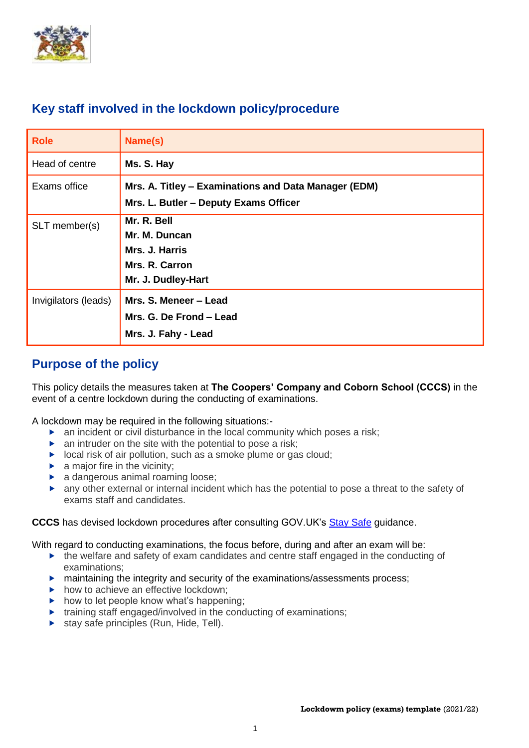

# **Key staff involved in the lockdown policy/procedure**

| <b>Role</b>          | Name(s)                                                                                       |
|----------------------|-----------------------------------------------------------------------------------------------|
| Head of centre       | Ms. S. Hay                                                                                    |
| Exams office         | Mrs. A. Titley – Examinations and Data Manager (EDM)<br>Mrs. L. Butler - Deputy Exams Officer |
| SLT member(s)        | Mr. R. Bell<br>Mr. M. Duncan<br>Mrs. J. Harris<br>Mrs. R. Carron<br>Mr. J. Dudley-Hart        |
| Invigilators (leads) | Mrs. S. Meneer - Lead<br>Mrs. G. De Frond - Lead<br>Mrs. J. Fahy - Lead                       |

# **Purpose of the policy**

This policy details the measures taken at **The Coopers' Company and Coborn School (CCCS)** in the event of a centre lockdown during the conducting of examinations.

A lockdown may be required in the following situations:-

- an incident or civil disturbance in the local community which poses a risk;
- $\triangleright$  an intruder on the site with the potential to pose a risk;
- $\triangleright$  local risk of air pollution, such as a smoke plume or gas cloud;
- $\blacktriangleright$  a major fire in the vicinity;
- **a** dangerous animal roaming loose;
- any other external or internal incident which has the potential to pose a threat to the safety of exams staff and candidates.

**CCCS** has devised lockdown procedures after consulting GOV.UK's [Stay Safe](https://www.gov.uk/government/publications/stay-safe-film) guidance.

With regard to conducting examinations, the focus before, during and after an exam will be:

- $\triangleright$  the welfare and safety of exam candidates and centre staff engaged in the conducting of examinations;
- $\blacktriangleright$  maintaining the integrity and security of the examinations/assessments process;
- $\blacktriangleright$  how to achieve an effective lockdown:
- $\triangleright$  how to let people know what's happening;
- $\triangleright$  training staff engaged/involved in the conducting of examinations;
- $\triangleright$  stay safe principles (Run, Hide, Tell).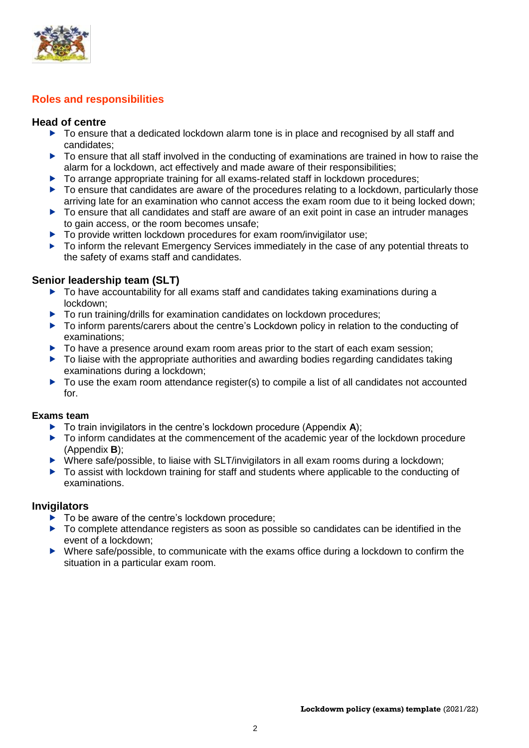

## **Roles and responsibilities**

#### **Head of centre**

- ▶ To ensure that a dedicated lockdown alarm tone is in place and recognised by all staff and candidates;
- To ensure that all staff involved in the conducting of examinations are trained in how to raise the alarm for a lockdown, act effectively and made aware of their responsibilities;
- ▶ To arrange appropriate training for all exams-related staff in lockdown procedures;
- $\triangleright$  To ensure that candidates are aware of the procedures relating to a lockdown, particularly those arriving late for an examination who cannot access the exam room due to it being locked down;
- ▶ To ensure that all candidates and staff are aware of an exit point in case an intruder manages to gain access, or the room becomes unsafe;
- ▶ To provide written lockdown procedures for exam room/invigilator use;
- $\triangleright$  To inform the relevant Emergency Services immediately in the case of any potential threats to the safety of exams staff and candidates.

## **Senior leadership team (SLT)**

- $\triangleright$  To have accountability for all exams staff and candidates taking examinations during a lockdown;
- ▶ To run training/drills for examination candidates on lockdown procedures;
- ▶ To inform parents/carers about the centre's Lockdown policy in relation to the conducting of examinations;
- $\triangleright$  To have a presence around exam room areas prior to the start of each exam session;
- ▶ To liaise with the appropriate authorities and awarding bodies regarding candidates taking examinations during a lockdown;
- $\triangleright$  To use the exam room attendance register(s) to compile a list of all candidates not accounted for.

#### **Exams team**

- ▶ To train invigilators in the centre's lockdown procedure (Appendix **A**);
- $\triangleright$  To inform candidates at the commencement of the academic year of the lockdown procedure (Appendix **B**);
- $\triangleright$  Where safe/possible, to liaise with SLT/invigilators in all exam rooms during a lockdown;
- ▶ To assist with lockdown training for staff and students where applicable to the conducting of examinations.

#### **Invigilators**

- ▶ To be aware of the centre's lockdown procedure;
- $\triangleright$  To complete attendance registers as soon as possible so candidates can be identified in the event of a lockdown;
- ▶ Where safe/possible, to communicate with the exams office during a lockdown to confirm the situation in a particular exam room.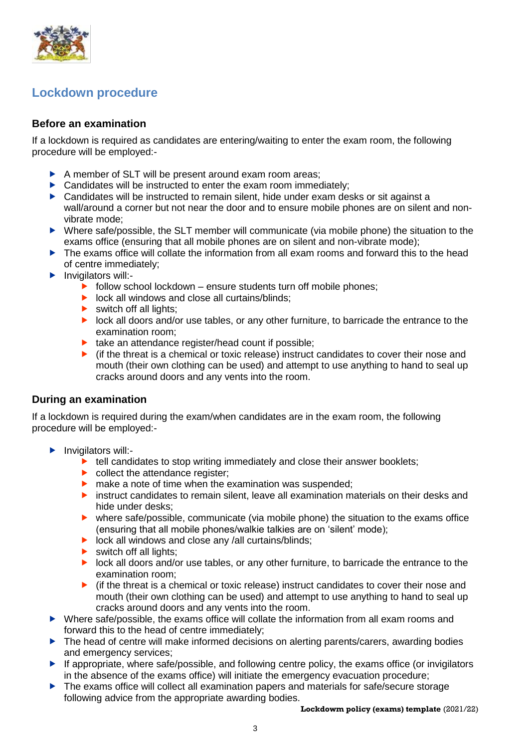

# **Lockdown procedure**

## **Before an examination**

If a lockdown is required as candidates are entering/waiting to enter the exam room, the following procedure will be employed:-

- A member of SLT will be present around exam room areas;
- ▶ Candidates will be instructed to enter the exam room immediately;
- ▶ Candidates will be instructed to remain silent, hide under exam desks or sit against a wall/around a corner but not near the door and to ensure mobile phones are on silent and nonvibrate mode;
- Where safe/possible, the SLT member will communicate (via mobile phone) the situation to the exams office (ensuring that all mobile phones are on silent and non-vibrate mode);
- The exams office will collate the information from all exam rooms and forward this to the head of centre immediately;
- $\blacktriangleright$  Invigilators will:-
	- $\triangleright$  follow school lockdown ensure students turn off mobile phones;
	- $\triangleright$  lock all windows and close all curtains/blinds:
	- $\blacktriangleright$  switch off all lights:
	- **IDOO** lock all doors and/or use tables, or any other furniture, to barricade the entrance to the examination room;
	- $\blacktriangleright$  take an attendance register/head count if possible;
	- $\blacktriangleright$  (if the threat is a chemical or toxic release) instruct candidates to cover their nose and mouth (their own clothing can be used) and attempt to use anything to hand to seal up cracks around doors and any vents into the room.

#### **During an examination**

If a lockdown is required during the exam/when candidates are in the exam room, the following procedure will be employed:-

- $\blacktriangleright$  Invigilators will:-
	- $\blacktriangleright$  tell candidates to stop writing immediately and close their answer booklets;
	- $\triangleright$  collect the attendance register:
	- $\triangleright$  make a note of time when the examination was suspended;
	- **E** instruct candidates to remain silent, leave all examination materials on their desks and hide under desks;
	- where safe/possible, communicate (via mobile phone) the situation to the exams office (ensuring that all mobile phones/walkie talkies are on 'silent' mode);
	- $\triangleright$  lock all windows and close any /all curtains/blinds;
	- $\blacktriangleright$  switch off all lights:
	- **IDU** lock all doors and/or use tables, or any other furniture, to barricade the entrance to the examination room;
	- $\blacktriangleright$  (if the threat is a chemical or toxic release) instruct candidates to cover their nose and mouth (their own clothing can be used) and attempt to use anything to hand to seal up cracks around doors and any vents into the room.
- Where safe/possible, the exams office will collate the information from all exam rooms and forward this to the head of centre immediately;
- ▶ The head of centre will make informed decisions on alerting parents/carers, awarding bodies and emergency services;
- $\blacktriangleright$  If appropriate, where safe/possible, and following centre policy, the exams office (or invigilators in the absence of the exams office) will initiate the emergency evacuation procedure;
- ▶ The exams office will collect all examination papers and materials for safe/secure storage following advice from the appropriate awarding bodies.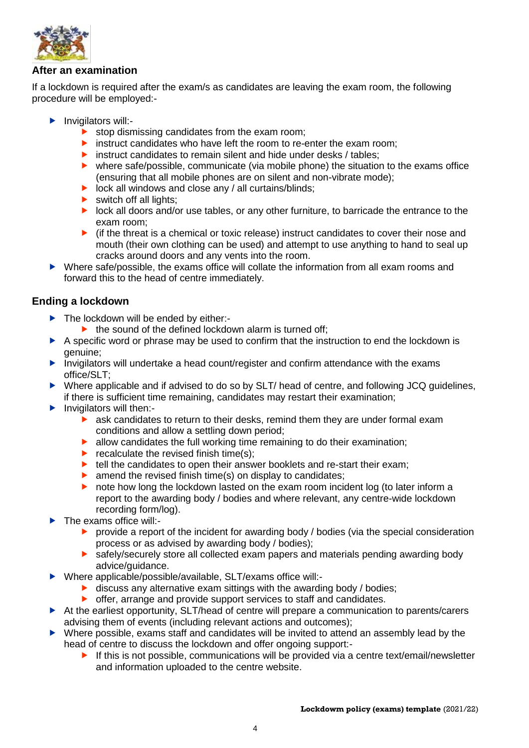

### **After an examination**

If a lockdown is required after the exam/s as candidates are leaving the exam room, the following procedure will be employed:-

- $\blacktriangleright$  Invigilators will:
	- stop dismissing candidates from the exam room;
	- $\triangleright$  instruct candidates who have left the room to re-enter the exam room;
	- instruct candidates to remain silent and hide under desks  $/$  tables;
	- where safe/possible, communicate (via mobile phone) the situation to the exams office (ensuring that all mobile phones are on silent and non-vibrate mode);
	- $\triangleright$  lock all windows and close any / all curtains/blinds;
	- $\triangleright$  switch off all lights;
	- **IDOO** lock all doors and/or use tables, or any other furniture, to barricade the entrance to the exam room;
	- $\blacktriangleright$  (if the threat is a chemical or toxic release) instruct candidates to cover their nose and mouth (their own clothing can be used) and attempt to use anything to hand to seal up cracks around doors and any vents into the room.
- Where safe/possible, the exams office will collate the information from all exam rooms and forward this to the head of centre immediately.

## **Ending a lockdown**

- The lockdown will be ended by either:-
	- $\blacktriangleright$  the sound of the defined lockdown alarm is turned off;
- A specific word or phrase may be used to confirm that the instruction to end the lockdown is genuine;
- **Invigilators will undertake a head count/register and confirm attendance with the exams** office/SLT;
- ▶ Where applicable and if advised to do so by SLT/ head of centre, and following JCQ guidelines, if there is sufficient time remaining, candidates may restart their examination;
- $\blacktriangleright$  Invigilators will then:
	- ask candidates to return to their desks, remind them they are under formal exam conditions and allow a settling down period;
	- $\blacktriangleright$  allow candidates the full working time remaining to do their examination;
	- recalculate the revised finish time(s);
	- ▶ tell the candidates to open their answer booklets and re-start their exam;
	- $\triangleright$  amend the revised finish time(s) on display to candidates:
	- note how long the lockdown lasted on the exam room incident log (to later inform a report to the awarding body / bodies and where relevant, any centre-wide lockdown recording form/log).
- The exams office will:-
	- **P** provide a report of the incident for awarding body / bodies (via the special consideration process or as advised by awarding body / bodies);
	- safely/securely store all collected exam papers and materials pending awarding body advice/guidance.
- Where applicable/possible/available, SLT/exams office will:-
	- $\blacktriangleright$  discuss any alternative exam sittings with the awarding body / bodies;
	- **•** offer, arrange and provide support services to staff and candidates.
- At the earliest opportunity, SLT/head of centre will prepare a communication to parents/carers advising them of events (including relevant actions and outcomes);
- Where possible, exams staff and candidates will be invited to attend an assembly lead by the head of centre to discuss the lockdown and offer ongoing support:-
	- If this is not possible, communications will be provided via a centre text/email/newsletter and information uploaded to the centre website.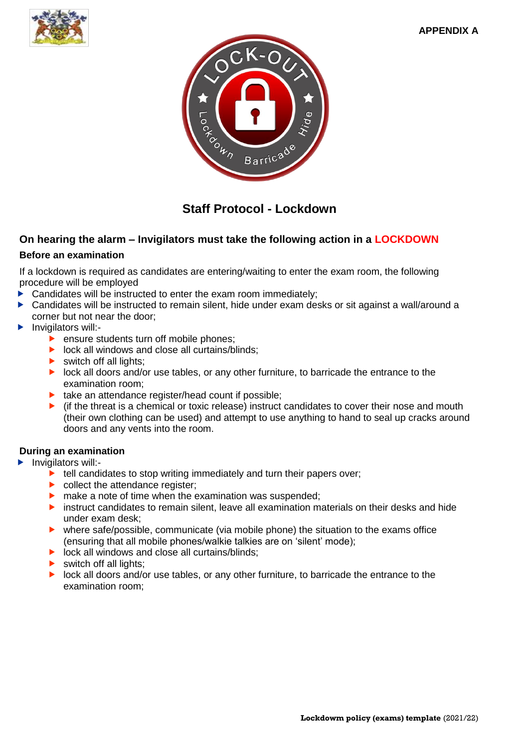



# **Staff Protocol - Lockdown**

## **On hearing the alarm – Invigilators must take the following action in a LOCKDOWN**

#### **Before an examination**

If a lockdown is required as candidates are entering/waiting to enter the exam room, the following procedure will be employed

- Candidates will be instructed to enter the exam room immediately;
- Candidates will be instructed to remain silent, hide under exam desks or sit against a wall/around a corner but not near the door;
- Invigilators will:-
	- **P** ensure students turn off mobile phones;
	- $\triangleright$  lock all windows and close all curtains/blinds;
	- $\triangleright$  switch off all lights:
	- **IDU** lock all doors and/or use tables, or any other furniture, to barricade the entrance to the examination room;
	- $\blacktriangleright$  take an attendance register/head count if possible;
	- $\blacktriangleright$  (if the threat is a chemical or toxic release) instruct candidates to cover their nose and mouth (their own clothing can be used) and attempt to use anything to hand to seal up cracks around doors and any vents into the room.

#### **During an examination**

- $\blacktriangleright$  Invigilators will:-
	- $\blacktriangleright$  tell candidates to stop writing immediately and turn their papers over;
	- collect the attendance register;
	- $\blacktriangleright$  make a note of time when the examination was suspended;
	- **EX** instruct candidates to remain silent, leave all examination materials on their desks and hide under exam desk;
	- where safe/possible, communicate (via mobile phone) the situation to the exams office (ensuring that all mobile phones/walkie talkies are on 'silent' mode);
	- $\triangleright$  lock all windows and close all curtains/blinds:
	- $\blacktriangleright$  switch off all lights:
	- **IDU** lock all doors and/or use tables, or any other furniture, to barricade the entrance to the examination room;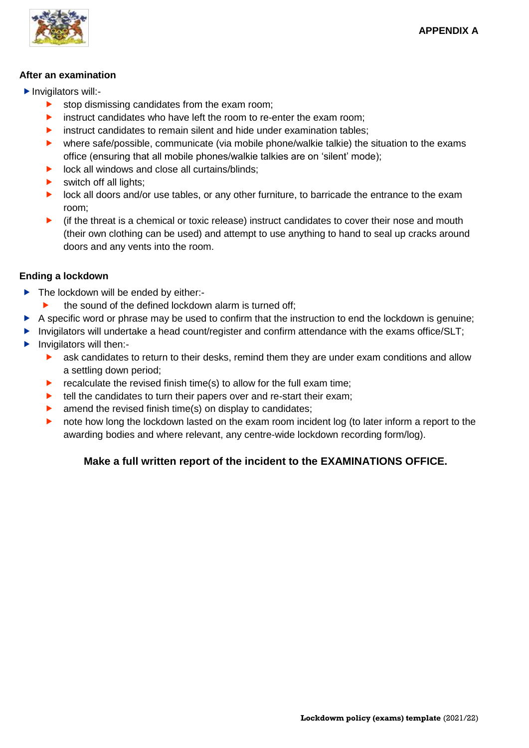

#### **After an examination**

- ▶ Invigilators will:
	- stop dismissing candidates from the exam room;
	- instruct candidates who have left the room to re-enter the exam room;
	- instruct candidates to remain silent and hide under examination tables;
	- where safe/possible, communicate (via mobile phone/walkie talkie) the situation to the exams office (ensuring that all mobile phones/walkie talkies are on 'silent' mode);
	- lock all windows and close all curtains/blinds;
	- switch off all lights;
	- lock all doors and/or use tables, or any other furniture, to barricade the entrance to the exam room;
	- $\blacktriangleright$  (if the threat is a chemical or toxic release) instruct candidates to cover their nose and mouth (their own clothing can be used) and attempt to use anything to hand to seal up cracks around doors and any vents into the room.

### **Ending a lockdown**

- The lockdown will be ended by either:-
- $\blacktriangleright$  the sound of the defined lockdown alarm is turned off;
- $\triangleright$  A specific word or phrase may be used to confirm that the instruction to end the lockdown is genuine;
- Invigilators will undertake a head count/register and confirm attendance with the exams office/SLT;
- $\blacktriangleright$  Invigilators will then:-
	- **EXECT** ask candidates to return to their desks, remind them they are under exam conditions and allow a settling down period;
	- $\blacktriangleright$  recalculate the revised finish time(s) to allow for the full exam time;
	- $\blacktriangleright$  tell the candidates to turn their papers over and re-start their exam;
	- amend the revised finish time(s) on display to candidates;
	- **•** note how long the lockdown lasted on the exam room incident log (to later inform a report to the awarding bodies and where relevant, any centre-wide lockdown recording form/log).

# **Make a full written report of the incident to the EXAMINATIONS OFFICE.**